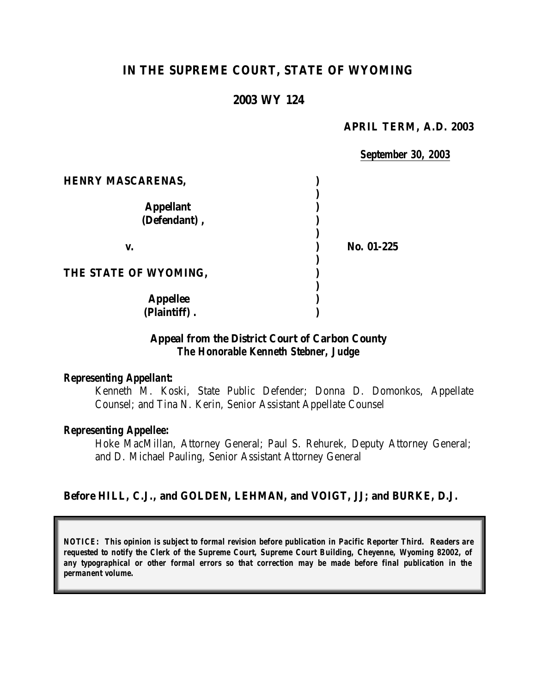# **IN THE SUPREME COURT, STATE OF WYOMING**

## **2003 WY 124**

#### **APRIL TERM, A.D. 2003**

*September 30, 2003*

| <b>HENRY MASCARENAS,</b>         |            |
|----------------------------------|------------|
| <b>Appellant</b><br>(Defendant), |            |
| V.                               | No. 01-225 |
| THE STATE OF WYOMING,            |            |
| <b>Appellee</b><br>(Plaintiff).  |            |

### **Appeal from the District Court of Carbon County** *The Honorable Kenneth Stebner, Judge*

#### *Representing Appellant:*

Kenneth M. Koski, State Public Defender; Donna D. Domonkos, Appellate Counsel; and Tina N. Kerin, Senior Assistant Appellate Counsel

#### *Representing Appellee:*

Hoke MacMillan, Attorney General; Paul S. Rehurek, Deputy Attorney General; and D. Michael Pauling, Senior Assistant Attorney General

### **Before HILL, C.J., and GOLDEN, LEHMAN, and VOIGT, JJ; and BURKE, D.J.**

*NOTICE: This opinion is subject to formal revision before publication in Pacific Reporter Third. Readers are requested to notify the Clerk of the Supreme Court, Supreme Court Building, Cheyenne, Wyoming 82002, of any typographical or other formal errors so that correction may be made before final publication in the permanent volume.*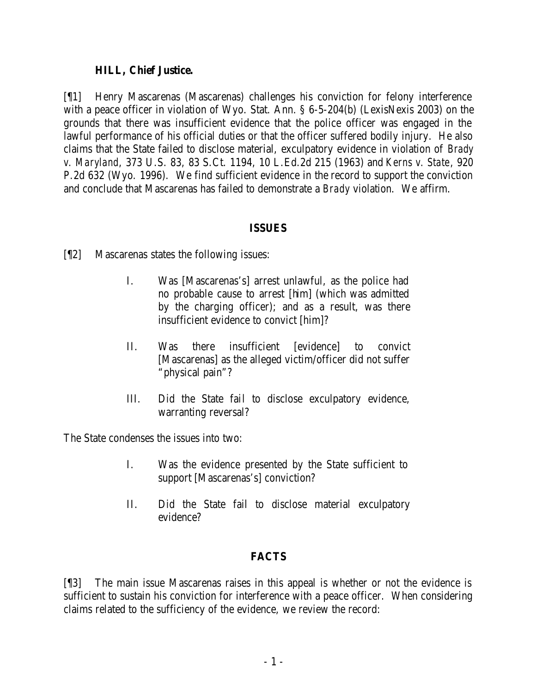# **HILL, Chief Justice.**

[¶1] Henry Mascarenas (Mascarenas) challenges his conviction for felony interference with a peace officer in violation of Wyo. Stat. Ann. § 6-5-204(b) (LexisNexis 2003) on the grounds that there was insufficient evidence that the police officer was engaged in the lawful performance of his official duties or that the officer suffered bodily injury. He also claims that the State failed to disclose material, exculpatory evidence in violation of *Brady v. Maryland*, 373 U.S. 83, 83 S.Ct. 1194, 10 L.Ed.2d 215 (1963) and *Kerns v. State*, 920 P.2d 632 (Wyo. 1996). We find sufficient evidence in the record to support the conviction and conclude that Mascarenas has failed to demonstrate a *Brady* violation. We affirm.

## **ISSUES**

- [¶2] Mascarenas states the following issues:
	- I. Was [Mascarenas's] arrest unlawful, as the police had no probable cause to arrest [him] (which was admitted by the charging officer); and as a result, was there insufficient evidence to convict [him]?
	- II. Was there insufficient [evidence] to convict [Mascarenas] as the alleged victim/officer did not suffer "physical pain"?
	- III. Did the State fail to disclose exculpatory evidence, warranting reversal?

The State condenses the issues into two:

- I. Was the evidence presented by the State sufficient to support [Mascarenas's] conviction?
- II. Did the State fail to disclose material exculpatory evidence?

# **FACTS**

[¶3] The main issue Mascarenas raises in this appeal is whether or not the evidence is sufficient to sustain his conviction for interference with a peace officer. When considering claims related to the sufficiency of the evidence, we review the record: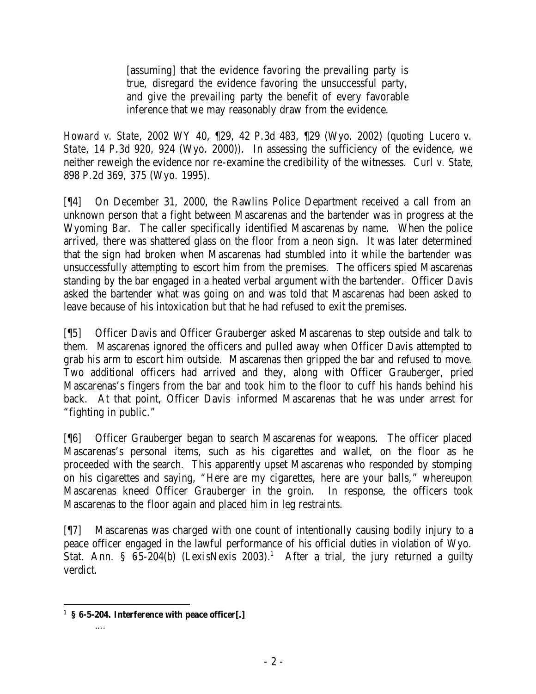[assuming] that the evidence favoring the prevailing party is true, disregard the evidence favoring the unsuccessful party, and give the prevailing party the benefit of every favorable inference that we may reasonably draw from the evidence.

*Howard v. State*, 2002 WY 40, ¶29, 42 P.3d 483, ¶29 (Wyo. 2002) (quoting *Lucero v. State*, 14 P.3d 920, 924 (Wyo. 2000)). In assessing the sufficiency of the evidence, we neither reweigh the evidence nor re-examine the credibility of the witnesses. *Curl v. State*, 898 P.2d 369, 375 (Wyo. 1995).

[¶4] On December 31, 2000, the Rawlins Police Department received a call from an unknown person that a fight between Mascarenas and the bartender was in progress at the Wyoming Bar. The caller specifically identified Mascarenas by name. When the police arrived, there was shattered glass on the floor from a neon sign. It was later determined that the sign had broken when Mascarenas had stumbled into it while the bartender was unsuccessfully attempting to escort him from the premises. The officers spied Mascarenas standing by the bar engaged in a heated verbal argument with the bartender. Officer Davis asked the bartender what was going on and was told that Mascarenas had been asked to leave because of his intoxication but that he had refused to exit the premises.

[¶5] Officer Davis and Officer Grauberger asked Mascarenas to step outside and talk to them. Mascarenas ignored the officers and pulled away when Officer Davis attempted to grab his arm to escort him outside. Mascarenas then gripped the bar and refused to move. Two additional officers had arrived and they, along with Officer Grauberger, pried Mascarenas's fingers from the bar and took him to the floor to cuff his hands behind his back. At that point, Officer Davis informed Mascarenas that he was under arrest for "fighting in public."

[¶6] Officer Grauberger began to search Mascarenas for weapons. The officer placed Mascarenas's personal items, such as his cigarettes and wallet, on the floor as he proceeded with the search. This apparently upset Mascarenas who responded by stomping on his cigarettes and saying, "Here are my cigarettes, here are your balls," whereupon Mascarenas kneed Officer Grauberger in the groin. In response, the officers took Mascarenas to the floor again and placed him in leg restraints.

[¶7] Mascarenas was charged with one count of intentionally causing bodily injury to a peace officer engaged in the lawful performance of his official duties in violation of Wyo. Stat. Ann. §  $65-204(b)$  (LexisNexis 2003).<sup>1</sup> After a trial, the jury returned a guilty verdict.

….

 1 **§ 6-5-204. Interference with peace officer[.]**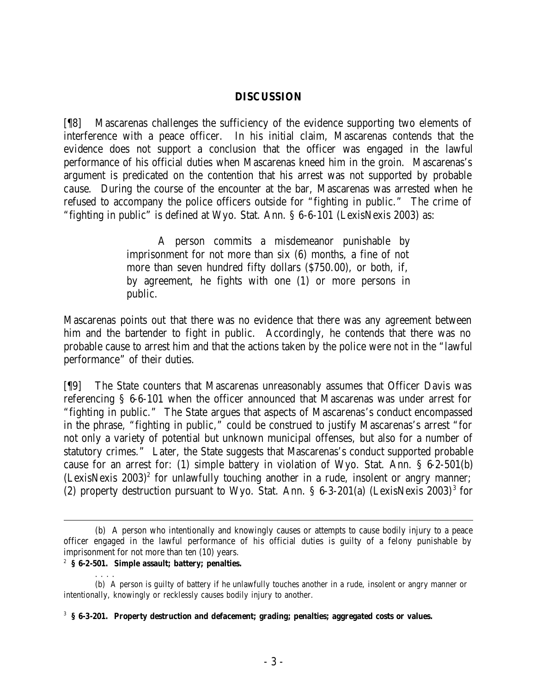### **DISCUSSION**

[¶8] Mascarenas challenges the sufficiency of the evidence supporting two elements of interference with a peace officer. In his initial claim, Mascarenas contends that the evidence does not support a conclusion that the officer was engaged in the lawful performance of his official duties when Mascarenas kneed him in the groin. Mascarenas's argument is predicated on the contention that his arrest was not supported by probable cause. During the course of the encounter at the bar, Mascarenas was arrested when he refused to accompany the police officers outside for "fighting in public." The crime of "fighting in public" is defined at Wyo. Stat. Ann. § 6-6-101 (LexisNexis 2003) as:

> A person commits a misdemeanor punishable by imprisonment for not more than six (6) months, a fine of not more than seven hundred fifty dollars (\$750.00), or both, if, by agreement, he fights with one (1) or more persons in public.

Mascarenas points out that there was no evidence that there was any agreement between him and the bartender to fight in public. Accordingly, he contends that there was no probable cause to arrest him and that the actions taken by the police were not in the "lawful performance" of their duties.

[¶9] The State counters that Mascarenas unreasonably assumes that Officer Davis was referencing § 6-6-101 when the officer announced that Mascarenas was under arrest for "fighting in public." The State argues that aspects of Mascarenas's conduct encompassed in the phrase, "fighting in public," could be construed to justify Mascarenas's arrest "for not only a variety of potential but unknown municipal offenses, but also for a number of statutory crimes." Later, the State suggests that Mascarenas's conduct supported probable cause for an arrest for: (1) simple battery in violation of Wyo. Stat. Ann. § 6-2-501(b)  $(LexisNexis 2003)<sup>2</sup>$  for unlawfully touching another in a rude, insolent or angry manner; (2) property destruction pursuant to Wyo. Stat. Ann.  $\S$  6-3-201(a) (LexisNexis 2003)<sup>3</sup> for

. . . .

<sup>(</sup>b) A person who intentionally and knowingly causes or attempts to cause bodily injury to a peace officer engaged in the lawful performance of his official duties is guilty of a felony punishable by imprisonment for not more than ten (10) years.

<sup>2</sup> **§ 6-2-501. Simple assault; battery; penalties.**

<sup>(</sup>b) A person is guilty of battery if he unlawfully touches another in a rude, insolent or angry manner or intentionally, knowingly or recklessly causes bodily injury to another.

<sup>3</sup> **§ 6-3-201. Property destruction and defacement; grading; penalties; aggregated costs or values.**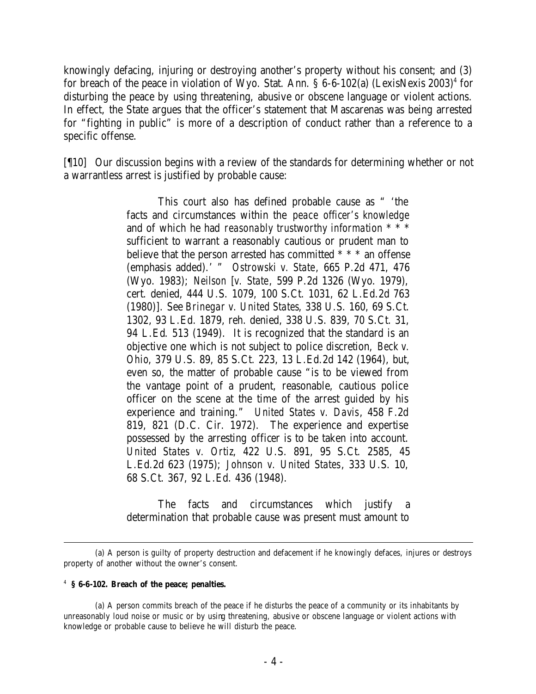knowingly defacing, injuring or destroying another's property without his consent; and (3) for breach of the peace in violation of Wyo. Stat. Ann.  $\S 6$ -6-102(a) (LexisNexis 2003)<sup>4</sup> for disturbing the peace by using threatening, abusive or obscene language or violent actions. In effect, the State argues that the officer's statement that Mascarenas was being arrested for "fighting in public" is more of a description of conduct rather than a reference to a specific offense.

[¶10] Our discussion begins with a review of the standards for determining whether or not a warrantless arrest is justified by probable cause:

> This court also has defined probable cause as " 'the facts and circumstances within the *peace officer's knowledge*  and of which he had *reasonably trustworthy information* \* \* \* sufficient to warrant a reasonably cautious or prudent man to believe that the person arrested has committed \* \* \* an offense (emphasis added).' " *Ostrowski v. State*, 665 P.2d 471, 476 (Wyo. 1983); *Neilson* [*v. State*, 599 P.2d 1326 (Wyo. 1979), cert. denied, 444 U.S. 1079, 100 S.Ct. 1031, 62 L.Ed.2d 763 (1980)]. See *Brinegar v. United States*, 338 U.S. 160, 69 S.Ct. 1302, 93 L.Ed. 1879, reh. denied, 338 U.S. 839, 70 S.Ct. 31, 94 L.Ed. 513 (1949). It is recognized that the standard is an objective one which is not subject to police discretion, *Beck v. Ohio*, 379 U.S. 89, 85 S.Ct. 223, 13 L.Ed.2d 142 (1964), but, even so, the matter of probable cause "is to be viewed from the vantage point of a prudent, reasonable, cautious police officer on the scene at the time of the arrest guided by his experience and training." *United States v. Davis*, 458 F.2d 819, 821 (D.C. Cir. 1972). The experience and expertise possessed by the arresting officer is to be taken into account. *United States v. Ortiz*, 422 U.S. 891, 95 S.Ct. 2585, 45 L.Ed.2d 623 (1975); *Johnson v. United States*, 333 U.S. 10, 68 S.Ct. 367, 92 L.Ed. 436 (1948).

> The facts and circumstances which justify a determination that probable cause was present must amount to

#### 4 **§ 6-6-102. Breach of the peace; penalties.**

(a) A person commits breach of the peace if he disturbs the peace of a community or its inhabitants by unreasonably loud noise or music or by using threatening, abusive or obscene language or violent actions with knowledge or probable cause to believe he will disturb the peace.

<sup>(</sup>a) A person is guilty of property destruction and defacement if he knowingly defaces, injures or destroys property of another without the owner's consent.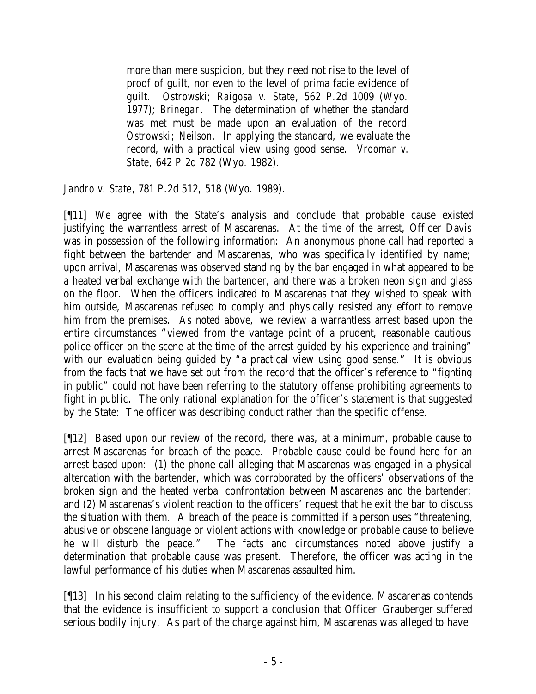more than mere suspicion, but they need not rise to the level of proof of guilt, nor even to the level of prima facie evidence of guilt. *Ostrowski*; *Raigosa v. State*, 562 P.2d 1009 (Wyo. 1977); *Brinegar*. The determination of whether the standard was met must be made upon an evaluation of the record. *Ostrowski*; *Neilson*. In applying the standard, we evaluate the record, with a practical view using good sense. *Vrooman v. State*, 642 P.2d 782 (Wyo. 1982).

*Jandro v. State*, 781 P.2d 512, 518 (Wyo. 1989).

[¶11] We agree with the State's analysis and conclude that probable cause existed justifying the warrantless arrest of Mascarenas. At the time of the arrest, Officer Davis was in possession of the following information: An anonymous phone call had reported a fight between the bartender and Mascarenas, who was specifically identified by name; upon arrival, Mascarenas was observed standing by the bar engaged in what appeared to be a heated verbal exchange with the bartender, and there was a broken neon sign and glass on the floor. When the officers indicated to Mascarenas that they wished to speak with him outside, Mascarenas refused to comply and physically resisted any effort to remove him from the premises. As noted above, we review a warrantless arrest based upon the entire circumstances "viewed from the vantage point of a prudent, reasonable cautious police officer on the scene at the time of the arrest guided by his experience and training" with our evaluation being guided by "a practical view using good sense." It is obvious from the facts that we have set out from the record that the officer's reference to "fighting in public" could not have been referring to the statutory offense prohibiting agreements to fight in public. The only rational explanation for the officer's statement is that suggested by the State: The officer was describing conduct rather than the specific offense.

[¶12] Based upon our review of the record, there was, at a minimum, probable cause to arrest Mascarenas for breach of the peace. Probable cause could be found here for an arrest based upon: (1) the phone call alleging that Mascarenas was engaged in a physical altercation with the bartender, which was corroborated by the officers' observations of the broken sign and the heated verbal confrontation between Mascarenas and the bartender; and (2) Mascarenas's violent reaction to the officers' request that he exit the bar to discuss the situation with them. A breach of the peace is committed if a person uses "threatening, abusive or obscene language or violent actions with knowledge or probable cause to believe he will disturb the peace." The facts and circumstances noted above justify a determination that probable cause was present. Therefore, the officer was acting in the lawful performance of his duties when Mascarenas assaulted him.

[¶13] In his second claim relating to the sufficiency of the evidence, Mascarenas contends that the evidence is insufficient to support a conclusion that Officer Grauberger suffered serious bodily injury. As part of the charge against him, Mascarenas was alleged to have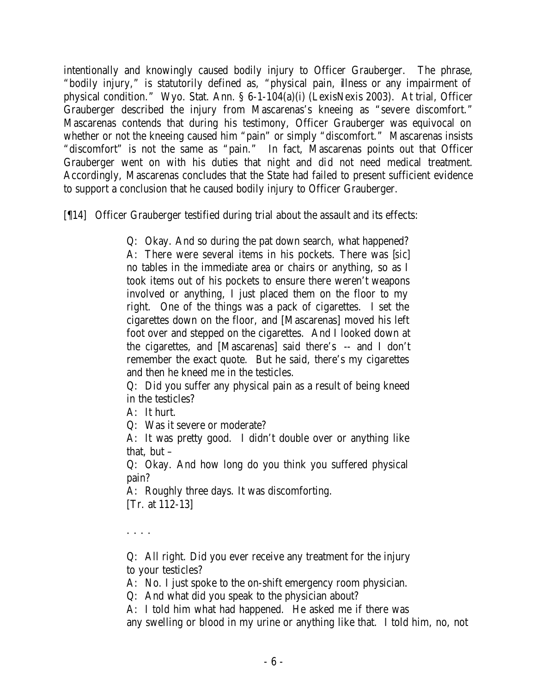intentionally and knowingly caused bodily injury to Officer Grauberger. The phrase, "bodily injury," is statutorily defined as, "physical pain, illness or any impairment of physical condition." Wyo. Stat. Ann. § 6-1-104(a)(i) (LexisNexis 2003). At trial, Officer Grauberger described the injury from Mascarenas's kneeing as "severe discomfort." Mascarenas contends that during his testimony, Officer Grauberger was equivocal on whether or not the kneeing caused him "pain" or simply "discomfort." Mascarenas insists "discomfort" is not the same as "pain." In fact, Mascarenas points out that Officer Grauberger went on with his duties that night and did not need medical treatment. Accordingly, Mascarenas concludes that the State had failed to present sufficient evidence to support a conclusion that he caused bodily injury to Officer Grauberger.

[¶14] Officer Grauberger testified during trial about the assault and its effects:

Q: Okay. And so during the pat down search, what happened? A: There were several items in his pockets. There was [*sic*] no tables in the immediate area or chairs or anything, so as I took items out of his pockets to ensure there weren't weapons involved or anything, I just placed them on the floor to my right. One of the things was a pack of cigarettes. I set the cigarettes down on the floor, and [Mascarenas] moved his left foot over and stepped on the cigarettes. And I looked down at the cigarettes, and [Mascarenas] said there's -- and I don't remember the exact quote. But he said, there's my cigarettes and then he kneed me in the testicles.

Q: Did you suffer any physical pain as a result of being kneed in the testicles?

A: It hurt.

Q: Was it severe or moderate?

A: It was pretty good. I didn't double over or anything like that, but –

Q: Okay. And how long do you think you suffered physical pain?

A: Roughly three days. It was discomforting. [Tr. at 112-13]

. . . .

Q: All right. Did you ever receive any treatment for the injury to your testicles?

A: No. I just spoke to the on-shift emergency room physician.

Q: And what did you speak to the physician about?

A: I told him what had happened. He asked me if there was any swelling or blood in my urine or anything like that. I told him, no, not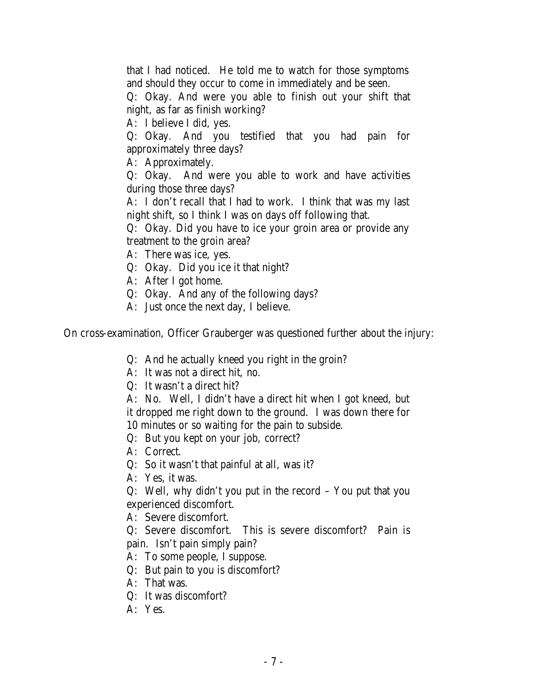that I had noticed. He told me to watch for those symptoms and should they occur to come in immediately and be seen.

Q: Okay. And were you able to finish out your shift that night, as far as finish working?

A: I believe I did, yes.

Q: Okay. And you testified that you had pain for approximately three days?

A: Approximately.

Q: Okay. And were you able to work and have activities during those three days?

A: I don't recall that I had to work. I think that was my last night shift, so I think I was on days off following that.

Q: Okay. Did you have to ice your groin area or provide any treatment to the groin area?

- A: There was ice, yes.
- Q: Okay. Did you ice it that night?
- A: After I got home.
- Q: Okay. And any of the following days?
- A: Just once the next day, I believe.

On cross-examination, Officer Grauberger was questioned further about the injury:

- Q: And he actually kneed you right in the groin?
- A: It was not a direct hit, no.
- Q: It wasn't a direct hit?

A: No. Well, I didn't have a direct hit when I got kneed, but it dropped me right down to the ground. I was down there for 10 minutes or so waiting for the pain to subside.

Q: But you kept on your job, correct?

- A: Correct.
- Q: So it wasn't that painful at all, was it?
- A: Yes, it was.

Q: Well, why didn't you put in the record – You put that you experienced discomfort.

A: Severe discomfort.

Q: Severe discomfort. This is severe discomfort? Pain is pain. Isn't pain simply pain?

- A: To some people, I suppose.
- Q: But pain to you is discomfort?
- A: That was.
- Q: It was discomfort?
- A: Yes.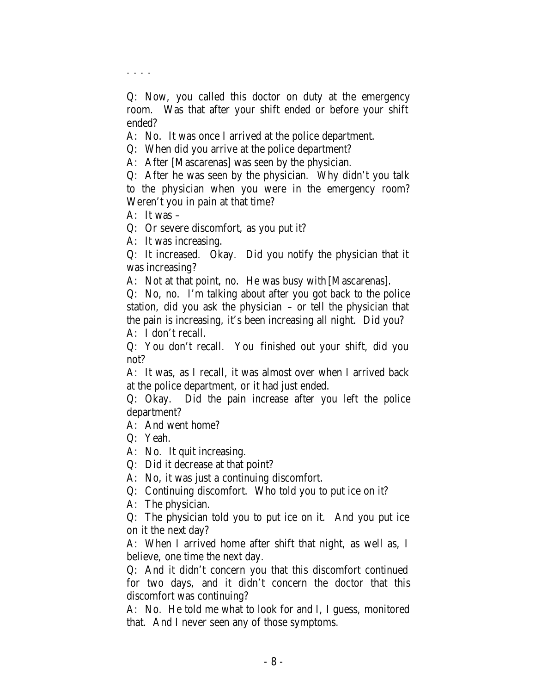. . . .

Q: Now, you called this doctor on duty at the emergency room. Was that after your shift ended or before your shift ended?

A: No. It was once I arrived at the police department.

Q: When did you arrive at the police department?

A: After [Mascarenas] was seen by the physician.

Q: After he was seen by the physician. Why didn't you talk to the physician when you were in the emergency room? Weren't you in pain at that time?

A: It was –

Q: Or severe discomfort, as you put it?

A: It was increasing.

Q: It increased. Okay. Did you notify the physician that it was increasing?

A: Not at that point, no. He was busy with [Mascarenas].

Q: No, no. I'm talking about after you got back to the police station, did you ask the physician – or tell the physician that the pain is increasing, it's been increasing all night. Did you? A: I don't recall.

Q: You don't recall. You finished out your shift, did you not?

A: It was, as I recall, it was almost over when I arrived back at the police department, or it had just ended.

Q: Okay. Did the pain increase after you left the police department?

A: And went home?

Q: Yeah.

A: No. It quit increasing.

Q: Did it decrease at that point?

A: No, it was just a continuing discomfort.

Q: Continuing discomfort. Who told you to put ice on it?

A: The physician.

Q: The physician told you to put ice on it. And you put ice on it the next day?

A: When I arrived home after shift that night, as well as, I believe, one time the next day.

Q: And it didn't concern you that this discomfort continued for two days, and it didn't concern the doctor that this discomfort was continuing?

A: No. He told me what to look for and I, I guess, monitored that. And I never seen any of those symptoms.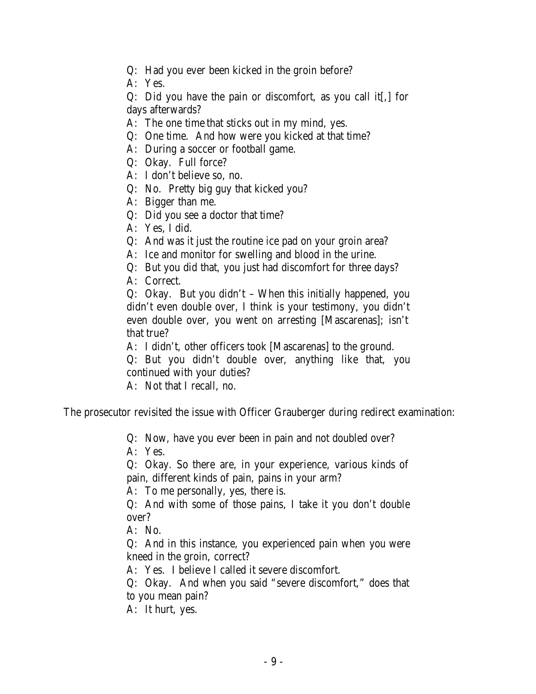- Q: Had you ever been kicked in the groin before?
- A: Yes.

Q: Did you have the pain or discomfort, as you call it[,] for days afterwards?

- A: The one time that sticks out in my mind, yes.
- Q: One time. And how were you kicked at that time?
- A: During a soccer or football game.
- Q: Okay. Full force?
- A: I don't believe so, no.
- Q: No. Pretty big guy that kicked you?
- A: Bigger than me.
- Q: Did you see a doctor that time?
- A: Yes, I did.
- Q: And was it just the routine ice pad on your groin area?
- A: Ice and monitor for swelling and blood in the urine.
- Q: But you did that, you just had discomfort for three days?
- A: Correct.

Q: Okay. But you didn't – When this initially happened, you didn't even double over, I think is your testimony, you didn't even double over, you went on arresting [Mascarenas]; isn't that true?

A: I didn't, other officers took [Mascarenas] to the ground.

- Q: But you didn't double over, anything like that, you continued with your duties?
- A: Not that I recall, no.

The prosecutor revisited the issue with Officer Grauberger during redirect examination:

Q: Now, have you ever been in pain and not doubled over?

A: Yes.

Q: Okay. So there are, in your experience, various kinds of pain, different kinds of pain, pains in your arm?

A: To me personally, yes, there is.

Q: And with some of those pains, I take it you don't double over?

A: No.

Q: And in this instance, you experienced pain when you were kneed in the groin, correct?

A: Yes. I believe I called it severe discomfort.

Q: Okay. And when you said "severe discomfort," does that to you mean pain?

A: It hurt, yes.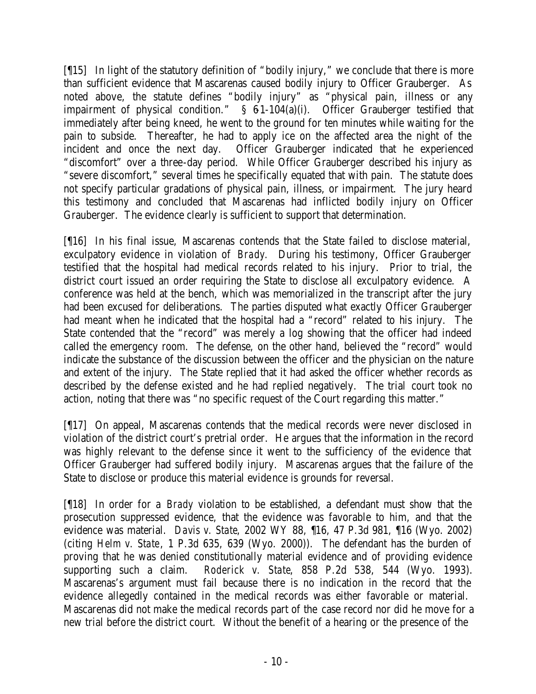[¶15] In light of the statutory definition of "bodily injury," we conclude that there is more than sufficient evidence that Mascarenas caused bodily injury to Officer Grauberger. As noted above, the statute defines "bodily injury" as "physical pain, illness or any impairment of physical condition."  $\S$  61-104(a)(i). Officer Grauberger testified that immediately after being kneed, he went to the ground for ten minutes while waiting for the pain to subside. Thereafter, he had to apply ice on the affected area the night of the incident and once the next day. Officer Grauberger indicated that he experienced "discomfort" over a three-day period. While Officer Grauberger described his injury as "severe discomfort," several times he specifically equated that with pain. The statute does not specify particular gradations of physical pain, illness, or impairment. The jury heard this testimony and concluded that Mascarenas had inflicted bodily injury on Officer Grauberger. The evidence clearly is sufficient to support that determination.

[¶16] In his final issue, Mascarenas contends that the State failed to disclose material, exculpatory evidence in violation of *Brady.* During his testimony, Officer Grauberger testified that the hospital had medical records related to his injury. Prior to trial, the district court issued an order requiring the State to disclose all exculpatory evidence. A conference was held at the bench, which was memorialized in the transcript after the jury had been excused for deliberations. The parties disputed what exactly Officer Grauberger had meant when he indicated that the hospital had a "record" related to his injury. The State contended that the "record" was merely a log showing that the officer had indeed called the emergency room. The defense, on the other hand, believed the "record" would indicate the substance of the discussion between the officer and the physician on the nature and extent of the injury. The State replied that it had asked the officer whether records as described by the defense existed and he had replied negatively. The trial court took no action, noting that there was "no specific request of the Court regarding this matter."

[¶17] On appeal, Mascarenas contends that the medical records were never disclosed in violation of the district court's pretrial order. He argues that the information in the record was highly relevant to the defense since it went to the sufficiency of the evidence that Officer Grauberger had suffered bodily injury. Mascarenas argues that the failure of the State to disclose or produce this material evidence is grounds for reversal.

[¶18] In order for a *Brady* violation to be established, a defendant must show that the prosecution suppressed evidence, that the evidence was favorable to him, and that the evidence was material. *Davis v. State*, 2002 WY 88, ¶16, 47 P.3d 981, ¶16 (Wyo. 2002) (citing *Helm v. State*, 1 P.3d 635, 639 (Wyo. 2000)). The defendant has the burden of proving that he was denied constitutionally material evidence and of providing evidence supporting such a claim. *Roderick v. State*, 858 P.2d 538, 544 (Wyo. 1993). Mascarenas's argument must fail because there is no indication in the record that the evidence allegedly contained in the medical records was either favorable or material. Mascarenas did not make the medical records part of the case record nor did he move for a new trial before the district court. Without the benefit of a hearing or the presence of the